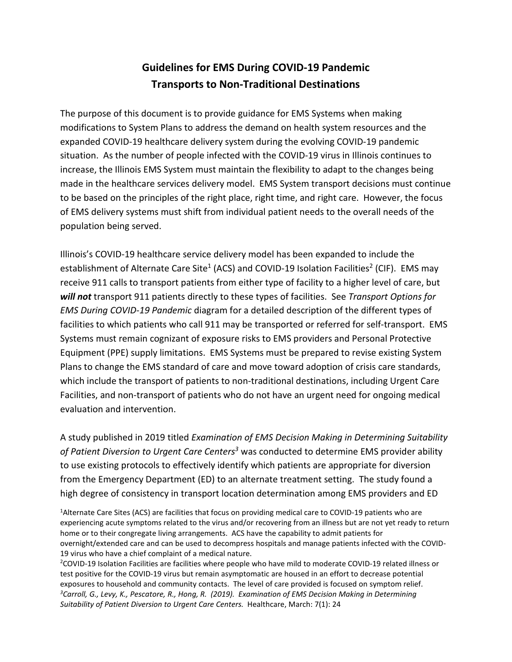### **Guidelines for EMS During COVID-19 Pandemic Transports to Non-Traditional Destinations**

The purpose of this document is to provide guidance for EMS Systems when making modifications to System Plans to address the demand on health system resources and the expanded COVID-19 healthcare delivery system during the evolving COVID-19 pandemic situation. As the number of people infected with the COVID-19 virus in Illinois continues to increase, the Illinois EMS System must maintain the flexibility to adapt to the changes being made in the healthcare services delivery model. EMS System transport decisions must continue to be based on the principles of the right place, right time, and right care. However, the focus of EMS delivery systems must shift from individual patient needs to the overall needs of the population being served.

Illinois's COVID-19 healthcare service delivery model has been expanded to include the establishment of Alternate Care Site<sup>1</sup> (ACS) and COVID-19 Isolation Facilities<sup>2</sup> (CIF). EMS may receive 911 calls to transport patients from either type of facility to a higher level of care, but *will not* transport 911 patients directly to these types of facilities. See *Transport Options for EMS During COVID-19 Pandemic* diagram for a detailed description of the different types of facilities to which patients who call 911 may be transported or referred for self-transport. EMS Systems must remain cognizant of exposure risks to EMS providers and Personal Protective Equipment (PPE) supply limitations. EMS Systems must be prepared to revise existing System Plans to change the EMS standard of care and move toward adoption of crisis care standards, which include the transport of patients to non-traditional destinations, including Urgent Care Facilities, and non-transport of patients who do not have an urgent need for ongoing medical evaluation and intervention.

A study published in 2019 titled *Examination of EMS Decision Making in Determining Suitability*  of Patient Diversion to Urgent Care Centers<sup>3</sup> was conducted to determine EMS provider ability to use existing protocols to effectively identify which patients are appropriate for diversion from the Emergency Department (ED) to an alternate treatment setting. The study found a high degree of consistency in transport location determination among EMS providers and ED

<sup>1</sup>Alternate Care Sites (ACS) are facilities that focus on providing medical care to COVID-19 patients who are experiencing acute symptoms related to the virus and/or recovering from an illness but are not yet ready to return home or to their congregate living arrangements. ACS have the capability to admit patients for overnight/extended care and can be used to decompress hospitals and manage patients infected with the COVID-19 virus who have a chief complaint of a medical nature.

2 COVID-19 Isolation Facilities are facilities where people who have mild to moderate COVID-19 related illness or test positive for the COVID-19 virus but remain asymptomatic are housed in an effort to decrease potential exposures to household and community contacts. The level of care provided is focused on symptom relief. <sup>3</sup> Carroll, G., Levy, K., Pescatore, R., Hong, R. (2019). Examination of EMS Decision Making in Determining *Suitability of Patient Diversion to Urgent Care Centers.* Healthcare, March: 7(1): 24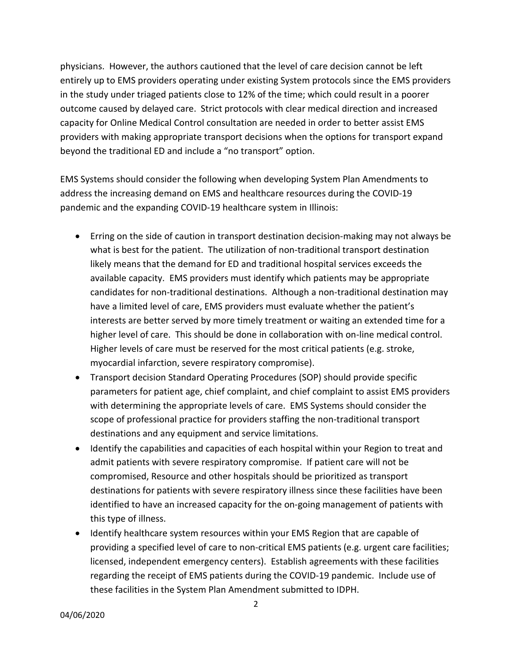physicians. However, the authors cautioned that the level of care decision cannot be left entirely up to EMS providers operating under existing System protocols since the EMS providers in the study under triaged patients close to 12% of the time; which could result in a poorer outcome caused by delayed care. Strict protocols with clear medical direction and increased capacity for Online Medical Control consultation are needed in order to better assist EMS providers with making appropriate transport decisions when the options for transport expand beyond the traditional ED and include a "no transport" option.

EMS Systems should consider the following when developing System Plan Amendments to address the increasing demand on EMS and healthcare resources during the COVID-19 pandemic and the expanding COVID-19 healthcare system in Illinois:

- Erring on the side of caution in transport destination decision-making may not always be what is best for the patient. The utilization of non-traditional transport destination likely means that the demand for ED and traditional hospital services exceeds the available capacity. EMS providers must identify which patients may be appropriate candidates for non-traditional destinations. Although a non-traditional destination may have a limited level of care, EMS providers must evaluate whether the patient's interests are better served by more timely treatment or waiting an extended time for a higher level of care. This should be done in collaboration with on-line medical control. Higher levels of care must be reserved for the most critical patients (e.g. stroke, myocardial infarction, severe respiratory compromise).
- Transport decision Standard Operating Procedures (SOP) should provide specific parameters for patient age, chief complaint, and chief complaint to assist EMS providers with determining the appropriate levels of care. EMS Systems should consider the scope of professional practice for providers staffing the non-traditional transport destinations and any equipment and service limitations.
- Identify the capabilities and capacities of each hospital within your Region to treat and admit patients with severe respiratory compromise. If patient care will not be compromised, Resource and other hospitals should be prioritized as transport destinations for patients with severe respiratory illness since these facilities have been identified to have an increased capacity for the on-going management of patients with this type of illness.
- Identify healthcare system resources within your EMS Region that are capable of providing a specified level of care to non-critical EMS patients (e.g. urgent care facilities; licensed, independent emergency centers). Establish agreements with these facilities regarding the receipt of EMS patients during the COVID-19 pandemic. Include use of these facilities in the System Plan Amendment submitted to IDPH.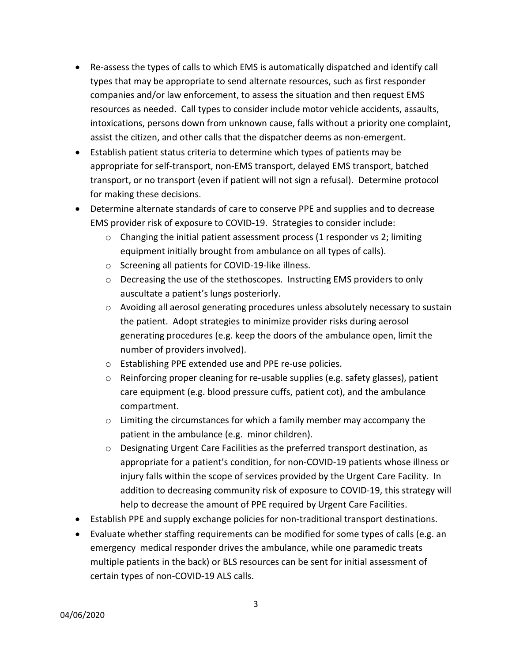- Re-assess the types of calls to which EMS is automatically dispatched and identify call types that may be appropriate to send alternate resources, such as first responder companies and/or law enforcement, to assess the situation and then request EMS resources as needed. Call types to consider include motor vehicle accidents, assaults, intoxications, persons down from unknown cause, falls without a priority one complaint, assist the citizen, and other calls that the dispatcher deems as non-emergent.
- Establish patient status criteria to determine which types of patients may be appropriate for self-transport, non-EMS transport, delayed EMS transport, batched transport, or no transport (even if patient will not sign a refusal). Determine protocol for making these decisions.
- Determine alternate standards of care to conserve PPE and supplies and to decrease EMS provider risk of exposure to COVID-19. Strategies to consider include:
	- $\circ$  Changing the initial patient assessment process (1 responder vs 2; limiting equipment initially brought from ambulance on all types of calls).
	- o Screening all patients for COVID-19-like illness.
	- o Decreasing the use of the stethoscopes. Instructing EMS providers to only auscultate a patient's lungs posteriorly.
	- o Avoiding all aerosol generating procedures unless absolutely necessary to sustain the patient. Adopt strategies to minimize provider risks during aerosol generating procedures (e.g. keep the doors of the ambulance open, limit the number of providers involved).
	- o Establishing PPE extended use and PPE re-use policies.
	- $\circ$  Reinforcing proper cleaning for re-usable supplies (e.g. safety glasses), patient care equipment (e.g. blood pressure cuffs, patient cot), and the ambulance compartment.
	- o Limiting the circumstances for which a family member may accompany the patient in the ambulance (e.g. minor children).
	- o Designating Urgent Care Facilities as the preferred transport destination, as appropriate for a patient's condition, for non-COVID-19 patients whose illness or injury falls within the scope of services provided by the Urgent Care Facility. In addition to decreasing community risk of exposure to COVID-19, this strategy will help to decrease the amount of PPE required by Urgent Care Facilities.
- Establish PPE and supply exchange policies for non-traditional transport destinations.
- Evaluate whether staffing requirements can be modified for some types of calls (e.g. an emergency medical responder drives the ambulance, while one paramedic treats multiple patients in the back) or BLS resources can be sent for initial assessment of certain types of non-COVID-19 ALS calls.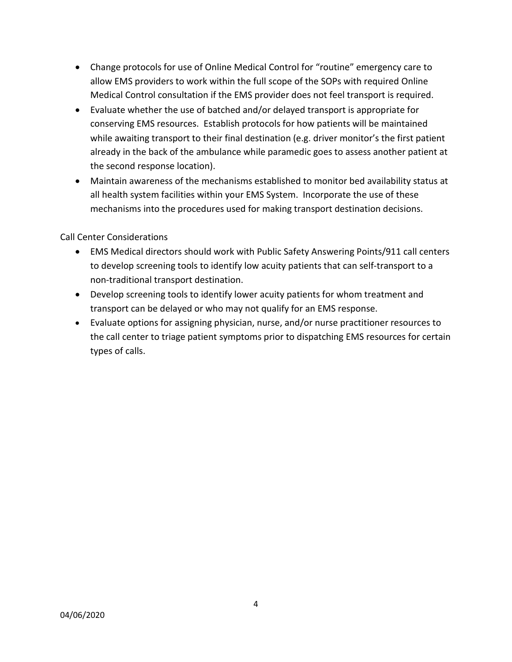- Change protocols for use of Online Medical Control for "routine" emergency care to allow EMS providers to work within the full scope of the SOPs with required Online Medical Control consultation if the EMS provider does not feel transport is required.
- Evaluate whether the use of batched and/or delayed transport is appropriate for conserving EMS resources. Establish protocols for how patients will be maintained while awaiting transport to their final destination (e.g. driver monitor's the first patient already in the back of the ambulance while paramedic goes to assess another patient at the second response location).
- Maintain awareness of the mechanisms established to monitor bed availability status at all health system facilities within your EMS System. Incorporate the use of these mechanisms into the procedures used for making transport destination decisions.

#### Call Center Considerations

- EMS Medical directors should work with Public Safety Answering Points/911 call centers to develop screening tools to identify low acuity patients that can self-transport to a non-traditional transport destination.
- Develop screening tools to identify lower acuity patients for whom treatment and transport can be delayed or who may not qualify for an EMS response.
- Evaluate options for assigning physician, nurse, and/or nurse practitioner resources to the call center to triage patient symptoms prior to dispatching EMS resources for certain types of calls.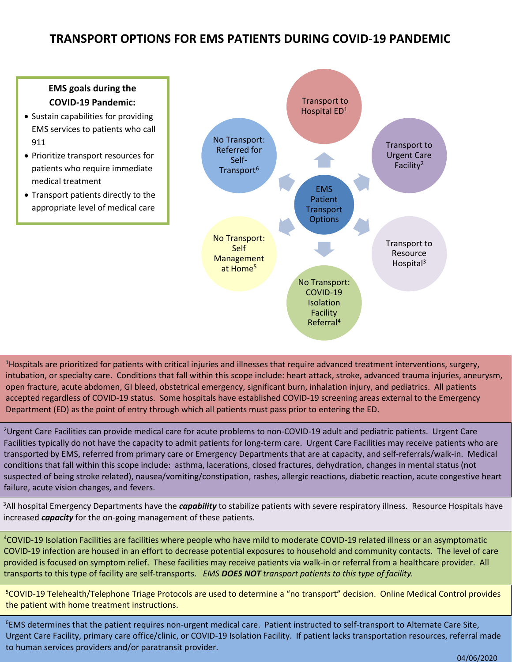### **TRANSPORT OPTIONS FOR EMS PATIENTS DURING COVID-19 PANDEMIC**

### **EMS goals during the COVID-19 Pandemic:**

- Sustain capabilities for providing EMS services to patients who call 911
- Prioritize transport resources for patients who require immediate medical treatment
- Transport patients directly to the appropriate level of medical care



<sup>1</sup>Hospitals are prioritized for patients with critical injuries and illnesses that require advanced treatment interventions, surgery, intubation, or specialty care. Conditions that fall within this scope include: heart attack, stroke, advanced trauma injuries, aneurysm, open fracture, acute abdomen, GI bleed, obstetrical emergency, significant burn, inhalation injury, and pediatrics. All patients accepted regardless of COVID-19 status. Some hospitals have established COVID-19 screening areas external to the Emergency Department (ED) as the point of entry through which all patients must pass prior to entering the ED.

<sup>2</sup>Urgent Care Facilities can provide medical care for acute problems to non-COVID-19 adult and pediatric patients. Urgent Care Facilities typically do not have the capacity to admit patients for long-term care. Urgent Care Facilities may receive patients who are transported by EMS, referred from primary care or Emergency Departments that are at capacity, and self-referrals/walk-in. Medical conditions that fall within this scope include: asthma, lacerations, closed fractures, dehydration, changes in mental status (not suspected of being stroke related), nausea/vomiting/constipation, rashes, allergic reactions, diabetic reaction, acute congestive heart failure, acute vision changes, and fevers.

<sup>3</sup>All hospital Emergency Departments have the *capability* to stabilize patients with severe respiratory illness. Resource Hospitals have increased *capacity* for the on-going management of these patients.

4 COVID-19 Isolation Facilities are facilities where people who have mild to moderate COVID-19 related illness or an asymptomatic COVID-19 infection are housed in an effort to decrease potential exposures to household and community contacts. The level of care provided is focused on symptom relief. These facilities may receive patients via walk-in or referral from a healthcare provider. All transports to this type of facility are self-transports. *EMS DOES NOT transport patients to this type of facility.*

<sup>5</sup>COVID-19 Telehealth/Telephone Triage Protocols are used to determine a "no transport" decision. Online Medical Control provides the patient with home treatment instructions.

<sup>6</sup>EMS determines that the patient requires non-urgent medical care. Patient instructed to self-transport to Alternate Care Site, Urgent Care Facility, primary care office/clinic, or COVID-19 Isolation Facility. If patient lacks transportation resources, referral made to human services providers and/or paratransit provider.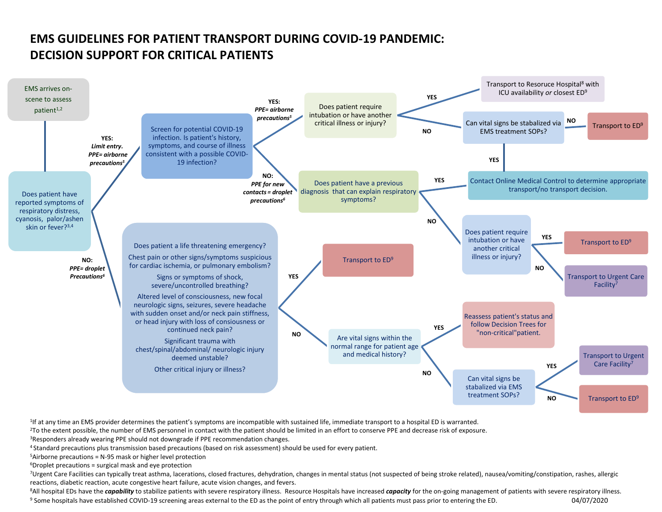## **EMS GUIDELINES FOR PATIENT TRANSPORT DURING COVID-19 PANDEMIC: DECISION SUPPORT FOR CRITICAL PATIENTS**



<sup>1</sup>If at any time an EMS provider determines the patient's symptoms are incompatible with sustained life, immediate transport to a hospital ED is warranted.

<sup>2</sup>To the extent possible, the number of EMS personnel in contact with the patient should be limited in an effort to conserve PPE and decrease risk of exposure.

3Responders already wearing PPE should not downgrade if PPE recommendation changes.

<sup>4</sup> Standard precautions plus transmission based precautions (based on risk assessment) should be used for every patient.

5Airborne precautions = N-95 mask or higher level protection

 $6D$ roplet precautions = surgical mask and eye protection

7Urgent Care Facilities can typically treat asthma, lacerations, closed fractures, dehydration, changes in mental status (not suspected of being stroke related), nausea/vomiting/constipation, rashes, allergic reactions, diabetic reaction, acute congestive heart failure, acute vision changes, and fevers.

<sup>8</sup>All hospital EDs have the *capability* to stabilize patients with severe respiratory illness. Resource Hospitals have increased *capacity* for the on-going management of patients with severe respiratory illness. <sup>9</sup> Some hospitals have established COVID-19 screening areas external to the ED as the point of entry through which all patients must pass prior to entering the ED. 04/07/2020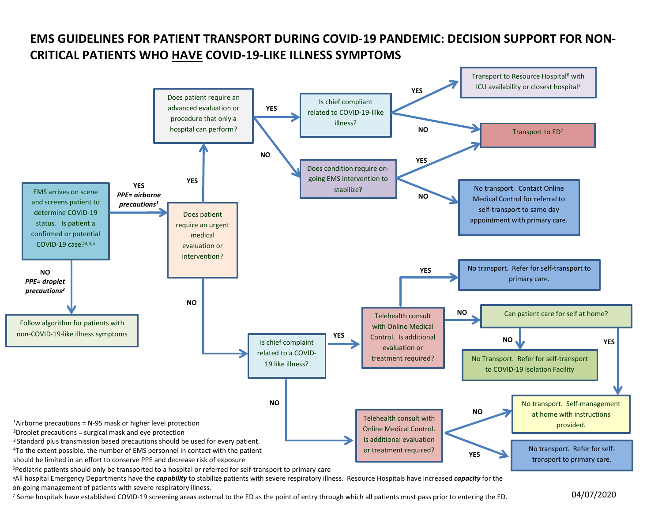## **EMS GUIDELINES FOR PATIENT TRANSPORT DURING COVID-19 PANDEMIC: DECISION SUPPORT FOR NON-CRITICAL PATIENTS WHO HAVE COVID-19-LIKE ILLNESS SYMPTOMS**



6All hospital Emergency Departments have the *capability* to stabilize patients with severe respiratory illness. Resource Hospitals have increased *capacity* for the

on-going management of patients with severe respiratory illness.<br><sup>7</sup> Some hospitals have established COVID-19 screening areas external to the ED as the point of entry through which all patients must pass prior to entering